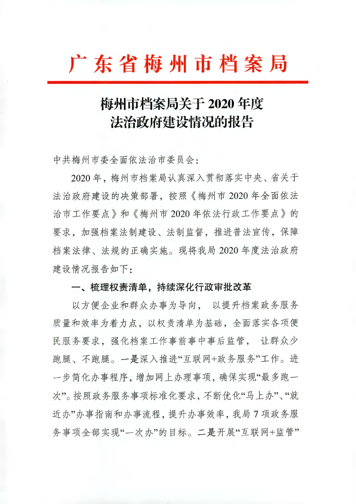# 广东省梅州市档案局

# 梅州市档案局关于 2020 年度 法治政府建设情况的报告

中共梅州市委全面依法治市委员会:

2020年,梅州市档案局认真深入贯彻落实中央、省关于 法治政府建设的决策部署, 按照《梅州市 2020年全面依法 治市工作要点》和《梅州市2020年依法行政工作要点》的 要求, 加强档案法制建设、法制监督, 推进普法宣传, 保障 档案法律、法规的正确实施。现将我局 2020 年度法治政府 建设情况报告如下:

### 一、梳理权责清单,持续深化行政审批改革

以方便企业和群众办事为导向, 以提升档案政务服务 质量和效率为着力点。以权责清单为基础、全面落实各项便 民服务要求, 强化档案工作事前事中事后监管, 让群众少 跑腿、不跑腿。一是深入推进"互联网+政务服务"工作。进 一步简化办事程序,增加网上办理事项,确保实现"最多跑一 次"。按照政务服务事项标准化要求。不断优化"马上办"、"就 近办"办事指南和办事流程,提升办事效率,我局7项政务服 务事项全部实现"一次办"的目标。二是开展"互联网+监管"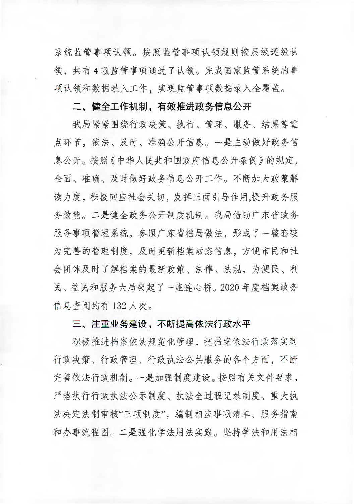系统监管事项认领。按照监管事项认领规则按层级逐级认 领, 共有4项监管事项通过了认领。完成国家监管系统的事 项认领和数据录入工作,实现监管事项数据录入全覆盖。

# 二、健全工作机制,有效推进政务信息公开

我局紧紧围绕行政决策、执行、管理、服务、结果等重 点环节。依法、及时、准确公开信息。一是主动做好政务信 息公开。按照《中华人民共和国政府信息公开条例》的规定, 全面、准确、及时做好政务信息公开工作。不断加大政策解 读力度,积极回应社会关切,发挥正面引导作用,提升政务服 务效能。二是健全政务公开制度机制。我局借助广东省政务 服务事项管理系统、参照广东省档局做法、形成了一整套较 为完善的管理制度, 及时更新档案动态信息, 方便市民和社 会团体及时了解档案的最新政策、法律、法规,为便民、利 民、益民和服务大局架起了一座连心桥。2020年度档案政务 信息查阅约有 132 人次。

#### 三、注重业务建设,不断提高依法行政水平

积极推进档案依法规范化管理,把档案依法行政落实到 行政决策、行政管理、行政执法公共服务的各个方面,不断 完善依法行政机制。一是加强制度建设。按照有关文件要求, 严格执行行政执法公示制度、执法全过程记录制度、重大执 法决定法制审核"三项制度", 编制相应事项清单、服务指南 和办事流程图。二是强化学法用法实践。坚持学法和用法相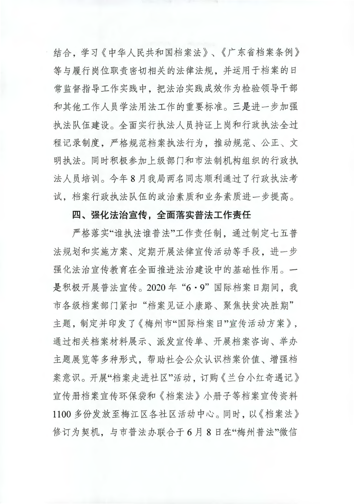结合, 学习《中华人民共和国档案法》、《广东省档案条例》 等与履行岗位职责密切相关的法律法规,并运用于档案的日 常监督指导工作实践中,把法治实践成效作为检验领导干部 和其他工作人员学法用法工作的重要标准。三是进一步加强 执法队伍建设。全面实行执法人员持证上岗和行政执法全过 程记录制度,严格规范档案执法行为,推动规范、公正、文 明执法。同时积极参加上级部门和市法制机构组织的行政执 法人员培训。今年8月我局两名同志顺利通过了行政执法考 试,档案行政执法队伍的政治素质和业务素质进一步提高。

## 四、强化法治宣传,全面落实普法工作责任

严格落实"谁执法谁普法"工作责任制, 通过制定七五普 法规划和实施方案、定期开展法律宣传活动等手段,进一步 强化法治宣传教育在全面推进法治建设中的基础性作用。一 是积极开展普法宣传。2020年"6·9"国际档案日期间,我 市各级档案部门紧扣"档案见证小康路、聚焦扶贫决胜期" 主题,制定并印发了《梅州市"国际档案日"宣传活动方案》, 通过相关档案材料展示、派发宣传单、开展档案咨询、举办 主题展览等多种形式,帮助社会公众认识档案价值、增强档 案意识。开展"档案走讲社区"活动, 订购《兰台小红奇遇记》 宣传册档案宣传环保袋和《档案法》小册子等档案宣传资料 1100 多份发放至梅江区各社区活动中心。同时, 以《档案法》 修订为契机, 与市普法办联合于6月8日在"梅州普法"微信